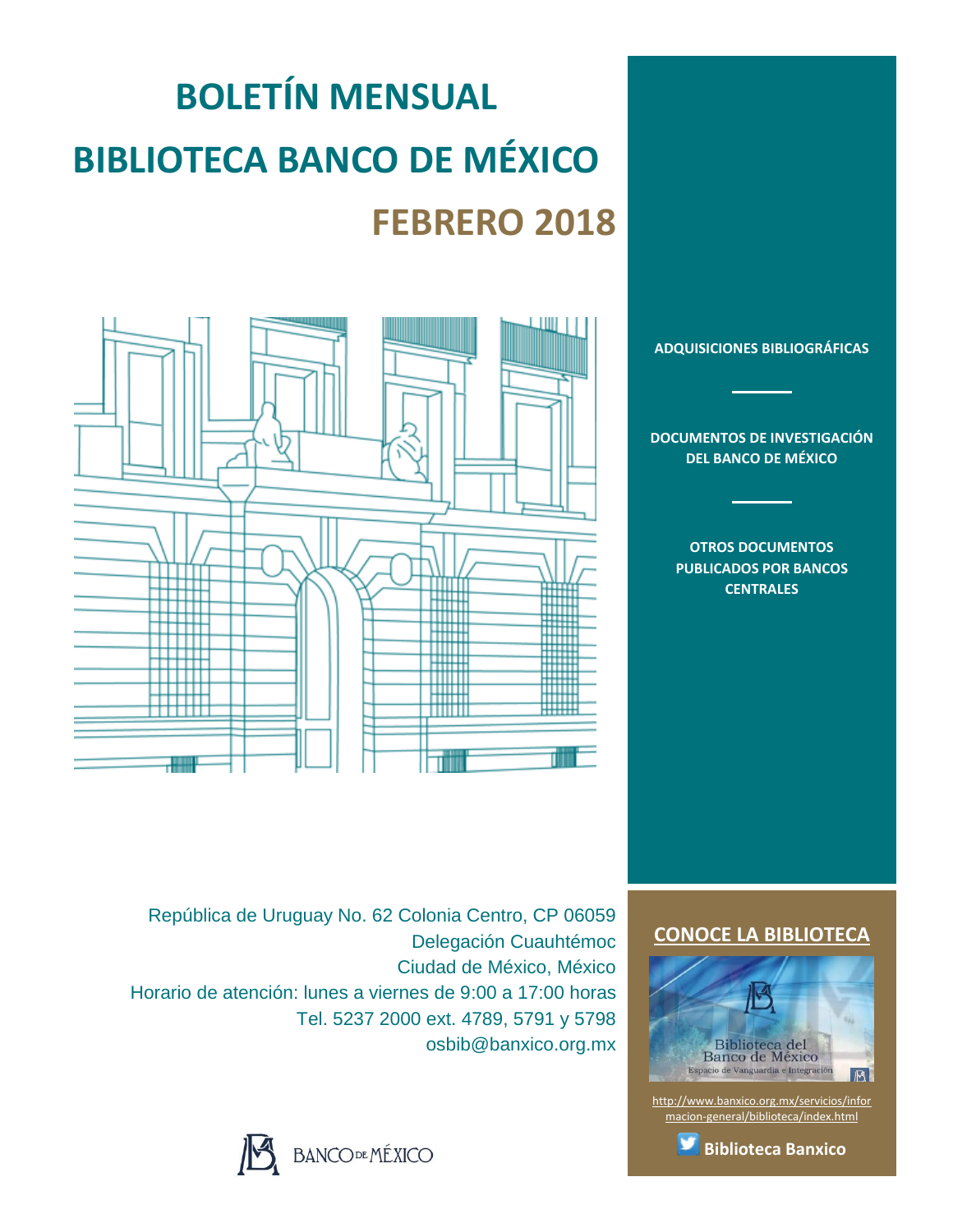# **BOLETÍN MENSUAL BIBLIOTECA BANCO DE MÉXICO FEBRERO 2018**



**[ADQUISICIONES BIBLIOGRÁFICAS](#page-1-0)**

**[DOCUMENTOS DE INVESTIGACIÓN](#page-2-0)  [DEL BANCO DE MÉXICO](#page-2-0)**

> **[OTROS DOCUMENTOS](#page-3-0)  [PUBLICADOS POR BANCOS](#page-3-0)  [CENTRALES](#page-3-0)**

República de Uruguay No. 62 Colonia Centro, CP 06059 Delegación Cuauhtémoc Ciudad de México, México Horario de atención: lunes a viernes de 9:00 a 17:00 horas Tel. 5237 2000 ext. 4789, 5791 y 5798 osbib@banxico.org.mx



#### **[CONOCE LA BIBLIOTECA](http://www.banxico.org.mx/servicios/informacion-general/biblioteca/index.html)**



[http://www.banxico.org.mx/servicios/infor](http://www.banxico.org.mx/servicios/informacion-general/biblioteca/index.html) [macion-general/biblioteca/index.html](http://www.banxico.org.mx/servicios/informacion-general/biblioteca/index.html)

**[Biblioteca Banxico](https://twitter.com/BiblioBanxico)**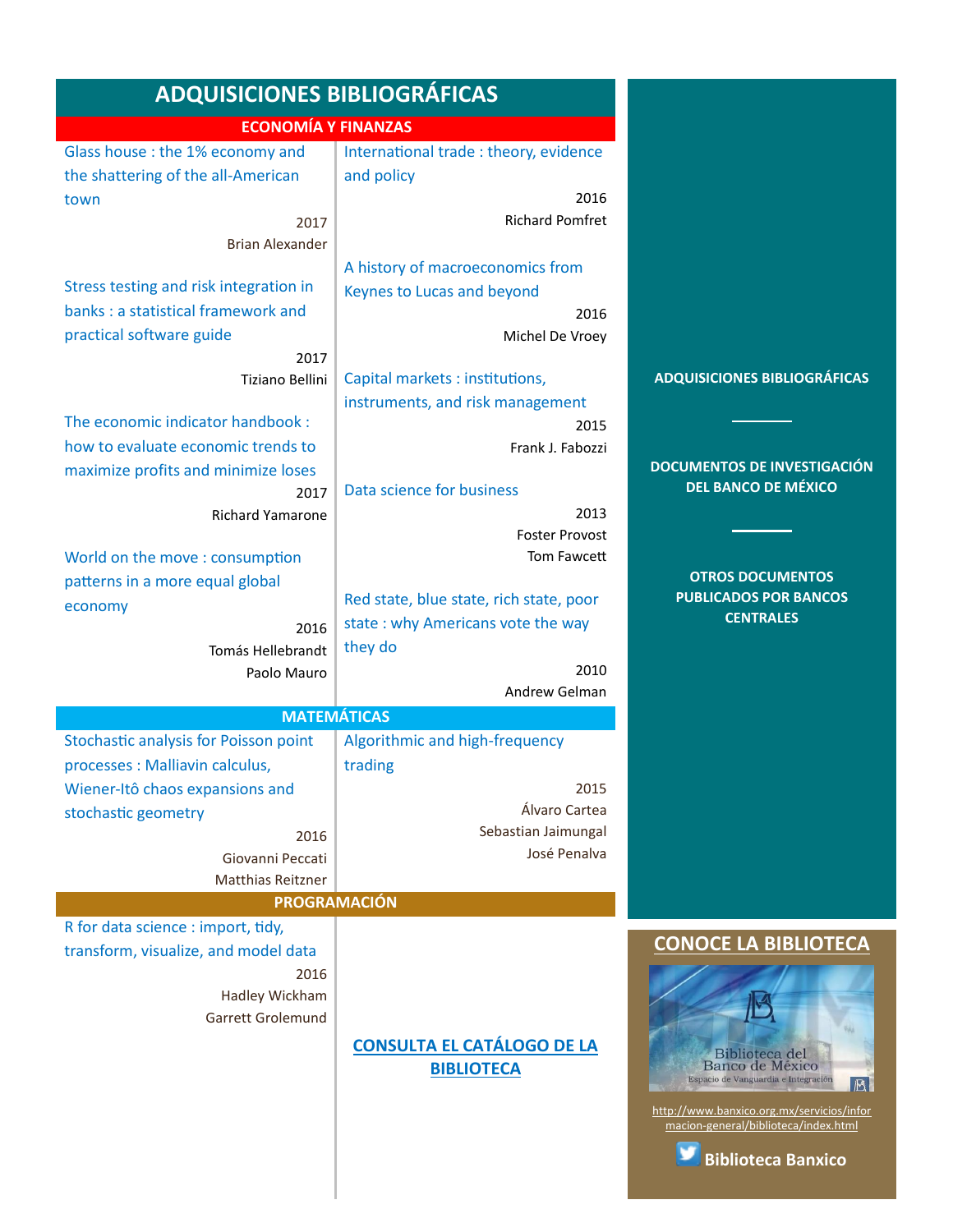<span id="page-1-0"></span>

| <b>ADQUISICIONES BIBLIOGRÁFICAS</b>    |                                         |                                                                                   |  |
|----------------------------------------|-----------------------------------------|-----------------------------------------------------------------------------------|--|
| <b>ECONOMÍA Y FINANZAS</b>             |                                         |                                                                                   |  |
| Glass house : the 1% economy and       | International trade : theory, evidence  |                                                                                   |  |
| the shattering of the all-American     | and policy                              |                                                                                   |  |
| town                                   | 2016                                    |                                                                                   |  |
| 2017                                   | <b>Richard Pomfret</b>                  |                                                                                   |  |
| <b>Brian Alexander</b>                 |                                         |                                                                                   |  |
|                                        | A history of macroeconomics from        |                                                                                   |  |
| Stress testing and risk integration in | Keynes to Lucas and beyond              |                                                                                   |  |
| banks : a statistical framework and    | 2016                                    |                                                                                   |  |
| practical software guide               | Michel De Vroey                         |                                                                                   |  |
| 2017                                   |                                         |                                                                                   |  |
| Tiziano Bellini                        | Capital markets : institutions,         | <b>ADQUISICIONES BIBLIOGRÁFICAS</b>                                               |  |
|                                        | instruments, and risk management        |                                                                                   |  |
| The economic indicator handbook:       | 2015                                    |                                                                                   |  |
| how to evaluate economic trends to     | Frank J. Fabozzi                        |                                                                                   |  |
| maximize profits and minimize loses    |                                         | <b>DOCUMENTOS DE INVESTIGACIÓN</b>                                                |  |
| 2017                                   | Data science for business               | <b>DEL BANCO DE MÉXICO</b>                                                        |  |
| <b>Richard Yamarone</b>                | 2013                                    |                                                                                   |  |
|                                        | <b>Foster Provost</b>                   |                                                                                   |  |
| World on the move: consumption         | Tom Fawcett                             |                                                                                   |  |
| patterns in a more equal global        |                                         | <b>OTROS DOCUMENTOS</b>                                                           |  |
| economy                                | Red state, blue state, rich state, poor | <b>PUBLICADOS POR BANCOS</b>                                                      |  |
| 2016                                   | state: why Americans vote the way       | <b>CENTRALES</b>                                                                  |  |
| Tomás Hellebrandt                      | they do                                 |                                                                                   |  |
| Paolo Mauro                            | 2010                                    |                                                                                   |  |
|                                        | Andrew Gelman                           |                                                                                   |  |
|                                        | <b>MATEMÁTICAS</b>                      |                                                                                   |  |
| Stochastic analysis for Poisson point  | Algorithmic and high-frequency          |                                                                                   |  |
| processes : Malliavin calculus,        | trading                                 |                                                                                   |  |
| Wiener-Itô chaos expansions and        | 2015                                    |                                                                                   |  |
| stochastic geometry                    | Álvaro Cartea                           |                                                                                   |  |
| 2016                                   | Sebastian Jaimungal                     |                                                                                   |  |
| Giovanni Peccati                       | José Penalva                            |                                                                                   |  |
| <b>Matthias Reitzner</b>               |                                         |                                                                                   |  |
| PROGRAMACIÓN                           |                                         |                                                                                   |  |
| R for data science : import, tidy,     |                                         | <b>CONOCE LA BIBLIOTECA</b>                                                       |  |
| transform, visualize, and model data   |                                         |                                                                                   |  |
| 2016                                   |                                         |                                                                                   |  |
| Hadley Wickham                         |                                         |                                                                                   |  |
| Garrett Grolemund                      |                                         |                                                                                   |  |
|                                        | <b>CONSULTA EL CATÁLOGO DE LA</b>       | Biblioteca del                                                                    |  |
|                                        | <b>BIBLIOTECA</b>                       | Banco de México<br>Espacio de Vanguardia e Integración                            |  |
|                                        |                                         | $ \mathbb{B} $                                                                    |  |
|                                        |                                         | http://www.banxico.org.mx/servicios/infor<br>macion-general/biblioteca/index.html |  |
|                                        |                                         |                                                                                   |  |

**[Biblioteca Banxico](https://twitter.com/BiblioBanxico)**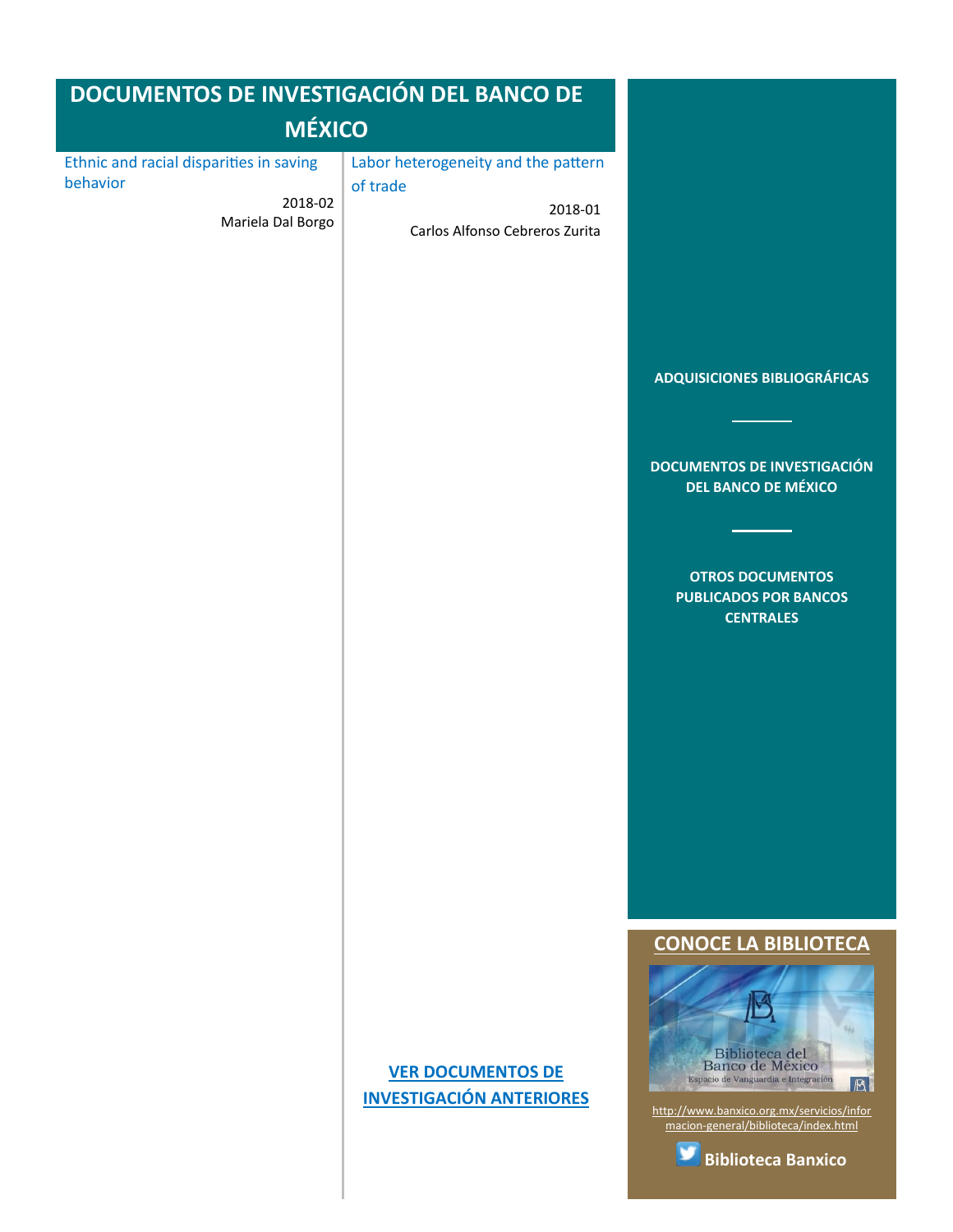<span id="page-2-0"></span>

| DOCUMENTOS DE INVESTIGACIÓN DEL BANCO DE                                            |                                                                                              |                                                                                                                                                                                                                                       |
|-------------------------------------------------------------------------------------|----------------------------------------------------------------------------------------------|---------------------------------------------------------------------------------------------------------------------------------------------------------------------------------------------------------------------------------------|
| <b>MÉXICO</b>                                                                       |                                                                                              |                                                                                                                                                                                                                                       |
| Ethnic and racial disparities in saving<br>behavior<br>2018-02<br>Mariela Dal Borgo | Labor heterogeneity and the pattern<br>of trade<br>2018-01<br>Carlos Alfonso Cebreros Zurita | <b>ADQUISICIONES BIBLIOGRÁFICAS</b><br><b>DOCUMENTOS DE INVESTIGACIÓN</b><br><b>DEL BANCO DE MÉXICO</b><br><b>OTROS DOCUMENTOS</b><br><b>PUBLICADOS POR BANCOS</b><br><b>CENTRALES</b>                                                |
|                                                                                     | <b>VER DOCUMENTOS DE</b><br><b>INVESTIGACIÓN ANTERIORES</b>                                  | <b>CONOCE LA BIBLIOTECA</b><br><b>Biblioteca</b> del<br>Banco de México<br>Espacio de Vanguardia e Integración<br>B<br>http://www.banxico.org.mx/servicios/infor<br>macion-general/biblioteca/index.html<br><b>Biblioteca Banxico</b> |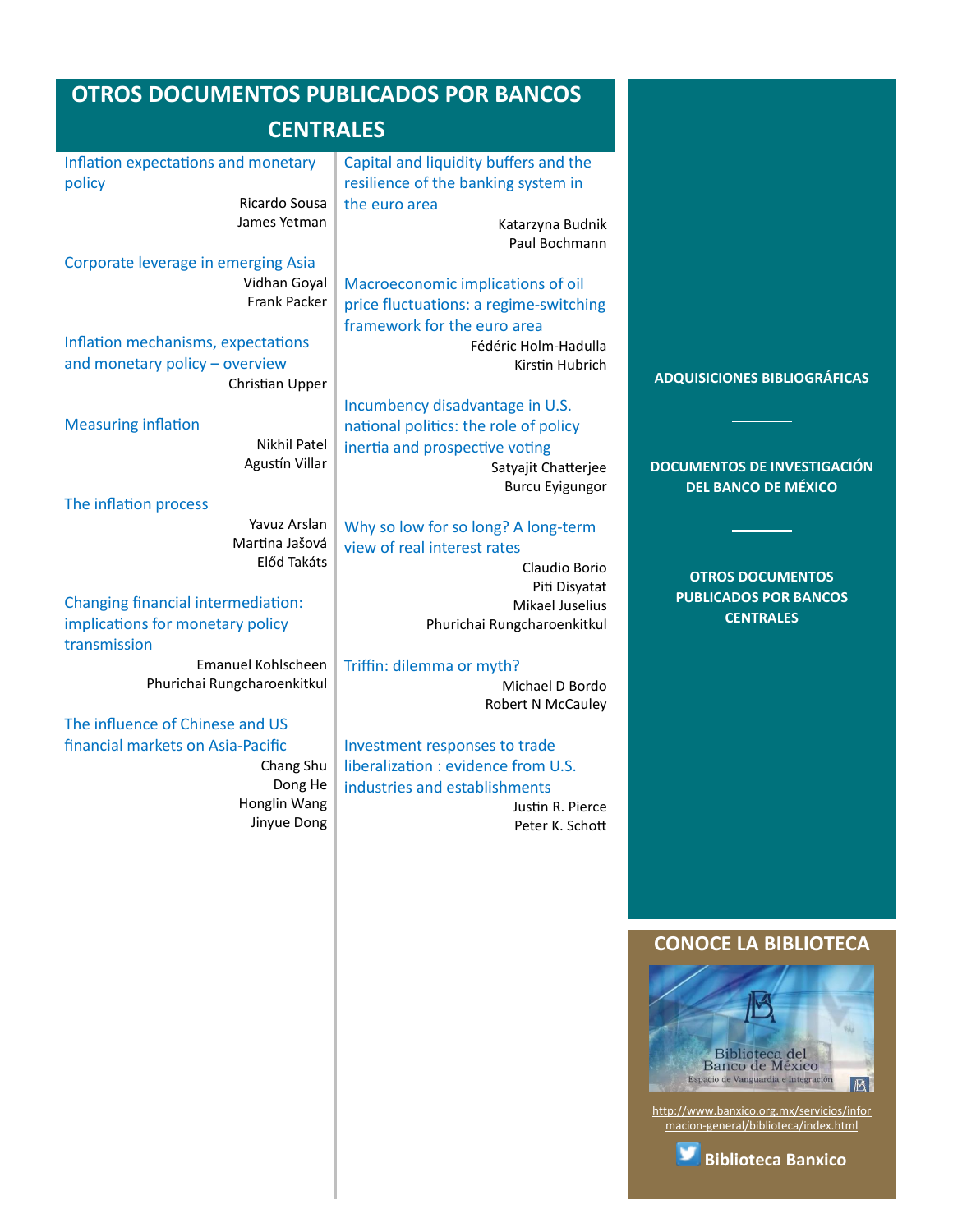<span id="page-3-0"></span>

| <b>OTROS DOCUMENTOS PUBLICADOS POR BANCOS</b>                                                                                                                                                                                                                                                                                                        |                                                                                                                                                                                                                                                                                                                                                                             |                                                                                                         |
|------------------------------------------------------------------------------------------------------------------------------------------------------------------------------------------------------------------------------------------------------------------------------------------------------------------------------------------------------|-----------------------------------------------------------------------------------------------------------------------------------------------------------------------------------------------------------------------------------------------------------------------------------------------------------------------------------------------------------------------------|---------------------------------------------------------------------------------------------------------|
| <b>CENTRALES</b>                                                                                                                                                                                                                                                                                                                                     |                                                                                                                                                                                                                                                                                                                                                                             |                                                                                                         |
| Inflation expectations and monetary<br>policy<br>Ricardo Sousa<br>James Yetman                                                                                                                                                                                                                                                                       | Capital and liquidity buffers and the<br>resilience of the banking system in<br>the euro area<br>Katarzyna Budnik                                                                                                                                                                                                                                                           |                                                                                                         |
| Corporate leverage in emerging Asia<br>Vidhan Goyal<br><b>Frank Packer</b><br>Inflation mechanisms, expectations<br>and monetary policy - overview<br>Christian Upper<br><b>Measuring inflation</b><br><b>Nikhil Patel</b><br>Agustín Villar                                                                                                         | Paul Bochmann<br>Macroeconomic implications of oil<br>price fluctuations: a regime-switching<br>framework for the euro area<br>Fédéric Holm-Hadulla<br>Kirstin Hubrich<br>Incumbency disadvantage in U.S.<br>national politics: the role of policy<br>inertia and prospective voting<br>Satyajit Chatterjee<br><b>Burcu Eyigungor</b>                                       | <b>ADQUISICIONES BIBLIOGRÁFICAS</b><br><b>DOCUMENTOS DE INVESTIGACIÓN</b><br><b>DEL BANCO DE MÉXICO</b> |
| The inflation process<br>Yavuz Arslan<br>Martina Jašová<br>Előd Takáts<br>Changing financial intermediation:<br>implications for monetary policy<br>transmission<br>Emanuel Kohlscheen<br>Phurichai Rungcharoenkitkul<br>The influence of Chinese and US<br>financial markets on Asia-Pacific<br>Chang Shu<br>Dong He<br>Honglin Wang<br>Jinyue Dong | Why so low for so long? A long-term<br>view of real interest rates<br>Claudio Borio<br>Piti Disyatat<br>Mikael Juselius<br>Phurichai Rungcharoenkitkul<br>Triffin: dilemma or myth?<br>Michael D Bordo<br>Robert N McCauley<br>Investment responses to trade<br>liberalization : evidence from U.S.<br>industries and establishments<br>Justin R. Pierce<br>Peter K. Schott | <b>OTROS DOCUMENTOS</b><br><b>PUBLICADOS POR BANCOS</b><br><b>CENTRALES</b>                             |

#### **[CONOCE LA BIBLIOTECA](http://www.banxico.org.mx/servicios/informacion-general/biblioteca/index.html)**



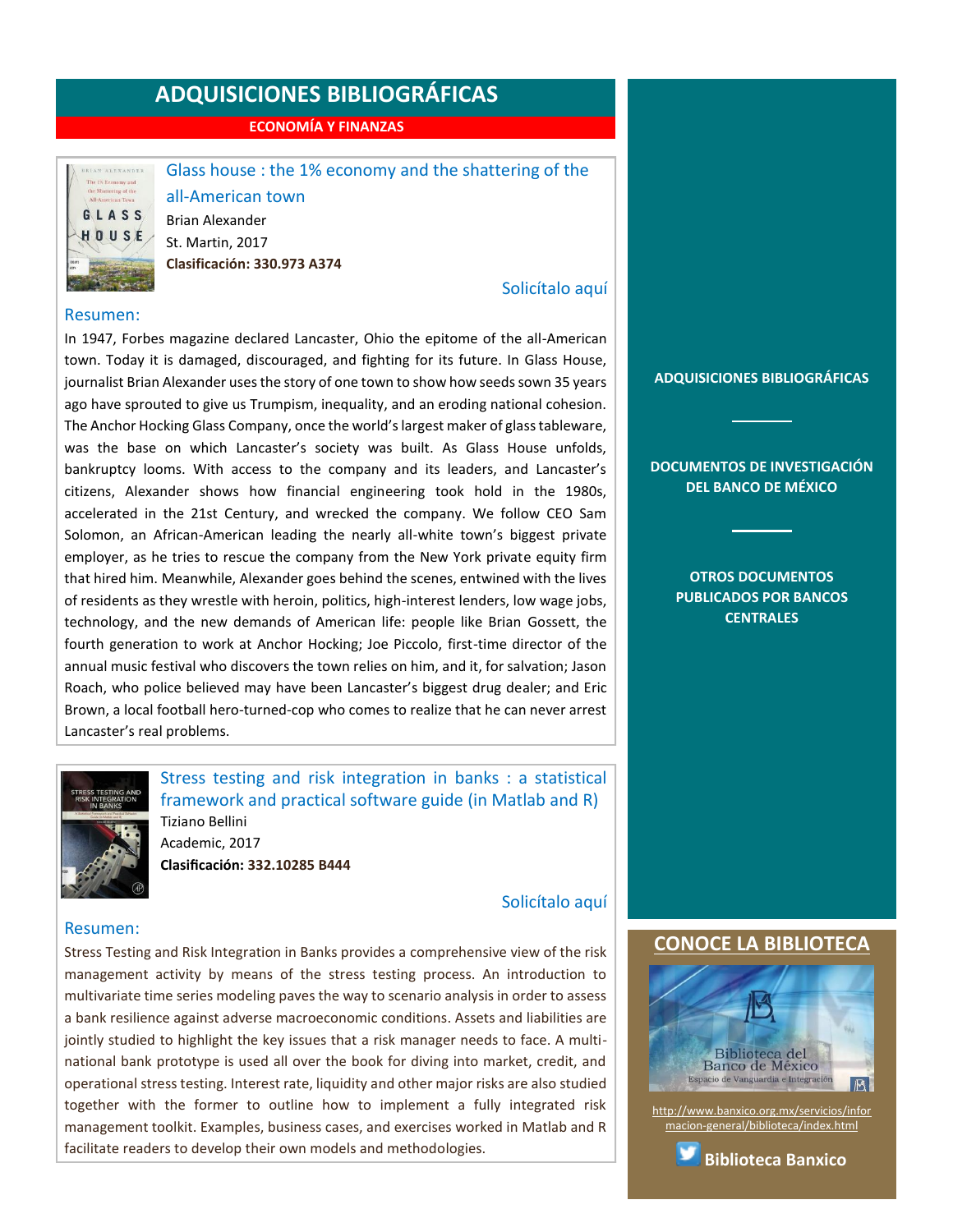**ECONOMÍA Y FINANZAS**

<span id="page-4-0"></span>

Glass house : the 1% economy and the shattering of the

all-American town Brian Alexander St. Martin, 2017 **Clasificación: 330.973 A374**

#### [Solicítalo aquí](mailto:osbib@banxico.org.mx?subject=+Solicito%20el%20siguiente%20material&body=Solicito%20en%20préstamo%20el%20siguiente%20título%20%22Glass%20house%22%20con%20clasificación%20330.973%20A374)

#### Resumen:

In 1947, Forbes magazine declared Lancaster, Ohio the epitome of the all-American town. Today it is damaged, discouraged, and fighting for its future. In Glass House, journalist Brian Alexander uses the story of one town to show how seeds sown 35 years ago have sprouted to give us Trumpism, inequality, and an eroding national cohesion. The Anchor Hocking Glass Company, once the world's largest maker of glass tableware, was the base on which Lancaster's society was built. As Glass House unfolds, bankruptcy looms. With access to the company and its leaders, and Lancaster's citizens, Alexander shows how financial engineering took hold in the 1980s, accelerated in the 21st Century, and wrecked the company. We follow CEO Sam Solomon, an African-American leading the nearly all-white town's biggest private employer, as he tries to rescue the company from the New York private equity firm that hired him. Meanwhile, Alexander goes behind the scenes, entwined with the lives of residents as they wrestle with heroin, politics, high-interest lenders, low wage jobs, technology, and the new demands of American life: people like Brian Gossett, the fourth generation to work at Anchor Hocking; Joe Piccolo, first-time director of the annual music festival who discovers the town relies on him, and it, for salvation; Jason Roach, who police believed may have been Lancaster's biggest drug dealer; and Eric Brown, a local football hero-turned-cop who comes to realize that he can never arrest Lancaster's real problems.



Stress testing and risk integration in banks : a statistical framework and practical software guide (in Matlab and R) Tiziano Bellini Academic, 2017 **Clasificación: 332.10285 B444**

#### [Solicítalo aquí](mailto:osbib@banxico.org.mx?subject=+Solicito%20el%20siguiente%20material&body=Solicito%20en%20préstamo%20el%20siguiente%20título%20%22Stress%20testing%20and%20risk%20integration%20in%20banks%22%20con%20clasificación%20332.10285%20B444)

#### Resumen:

Stress Testing and Risk Integration in Banks provides a comprehensive view of the risk management activity by means of the stress testing process. An introduction to multivariate time series modeling paves the way to scenario analysis in order to assess a bank resilience against adverse macroeconomic conditions. Assets and liabilities are jointly studied to highlight the key issues that a risk manager needs to face. A multinational bank prototype is used all over the book for diving into market, credit, and operational stress testing. Interest rate, liquidity and other major risks are also studied together with the former to outline how to implement a fully integrated risk management toolkit. Examples, business cases, and exercises worked in Matlab and R facilitate readers to develop their own models and methodologies.

**[ADQUISICIONES BIBLIOGRÁFICAS](#page-1-0)**

**[DOCUMENTOS DE INVESTIGACIÓN](#page-2-0)  [DEL BANCO DE MÉXICO](#page-2-0)**

> **[OTROS DOCUMENTOS](#page-3-0)  [PUBLICADOS POR BANCOS](#page-3-0)  [CENTRALES](#page-3-0)**

#### **[CONOCE LA BIBLIOTECA](http://www.banxico.org.mx/servicios/informacion-general/biblioteca/index.html)**



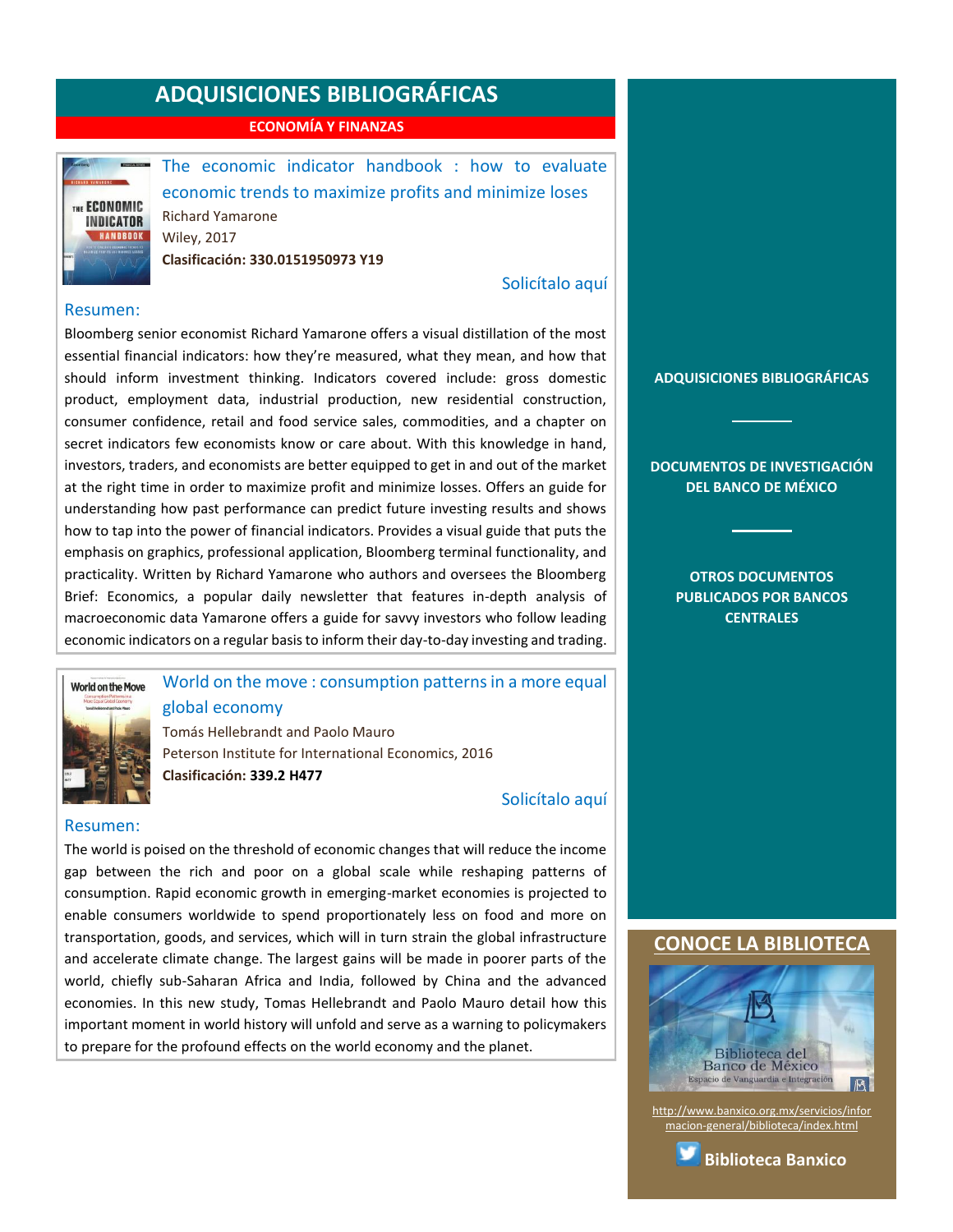**ECONOMÍA Y FINANZAS**

<span id="page-5-0"></span>

The economic indicator handbook : how to evaluate economic trends to maximize profits and minimize loses Richard Yamarone Wiley, 2017 **Clasificación: 330.0151950973 Y19**

[Solicítalo aquí](mailto:osbib@banxico.org.mx?subject=+Solicito%20el%20siguiente%20material&body=Solicito%20en%20préstamo%20el%20siguiente%20título%20%22The%20economic%20indicator%20handbook%22%20con%20clasificación%20330.0151950973%20Y19)

#### Resumen:

Bloomberg senior economist Richard Yamarone offers a visual distillation of the most essential financial indicators: how they're measured, what they mean, and how that should inform investment thinking. Indicators covered include: gross domestic product, employment data, industrial production, new residential construction, consumer confidence, retail and food service sales, commodities, and a chapter on secret indicators few economists know or care about. With this knowledge in hand, investors, traders, and economists are better equipped to get in and out of the market at the right time in order to maximize profit and minimize losses. Offers an guide for understanding how past performance can predict future investing results and shows how to tap into the power of financial indicators. Provides a visual guide that puts the emphasis on graphics, professional application, Bloomberg terminal functionality, and practicality. Written by Richard Yamarone who authors and oversees the Bloomberg Brief: Economics, a popular daily newsletter that features in-depth analysis of macroeconomic data Yamarone offers a guide for savvy investors who follow leading economic indicators on a regular basis to inform their day-to-day investing and trading.

# **World on the Move**

#### World on the move : consumption patterns in a more equal global economy

Tomás Hellebrandt and Paolo Mauro Peterson Institute for International Economics, 2016 **Clasificación: 339.2 H477**

#### [Solicítalo aquí](mailto:osbib@banxico.org.mx?subject=+Solicito%20el%20siguiente%20material&body=Solicito%20en%20préstamo%20el%20siguiente%20título%20%22World%20on%20the%20move%22%20con%20clasificación%20339.2%20H477)

#### Resumen:

The world is poised on the threshold of economic changes that will reduce the income gap between the rich and poor on a global scale while reshaping patterns of consumption. Rapid economic growth in emerging-market economies is projected to enable consumers worldwide to spend proportionately less on food and more on transportation, goods, and services, which will in turn strain the global infrastructure and accelerate climate change. The largest gains will be made in poorer parts of the world, chiefly sub-Saharan Africa and India, followed by China and the advanced economies. In this new study, Tomas Hellebrandt and Paolo Mauro detail how this important moment in world history will unfold and serve as a warning to policymakers to prepare for the profound effects on the world economy and the planet.

**[ADQUISICIONES BIBLIOGRÁFICAS](#page-1-0)**

#### **[DOCUMENTOS DE INVESTIGACIÓN](#page-2-0)  [DEL BANCO DE MÉXICO](#page-2-0)**

**[OTROS DOCUMENTOS](#page-3-0)  [PUBLICADOS POR BANCOS](#page-3-0)  [CENTRALES](#page-3-0)**

#### **[CONOCE LA BIBLIOTECA](http://www.banxico.org.mx/servicios/informacion-general/biblioteca/index.html)**



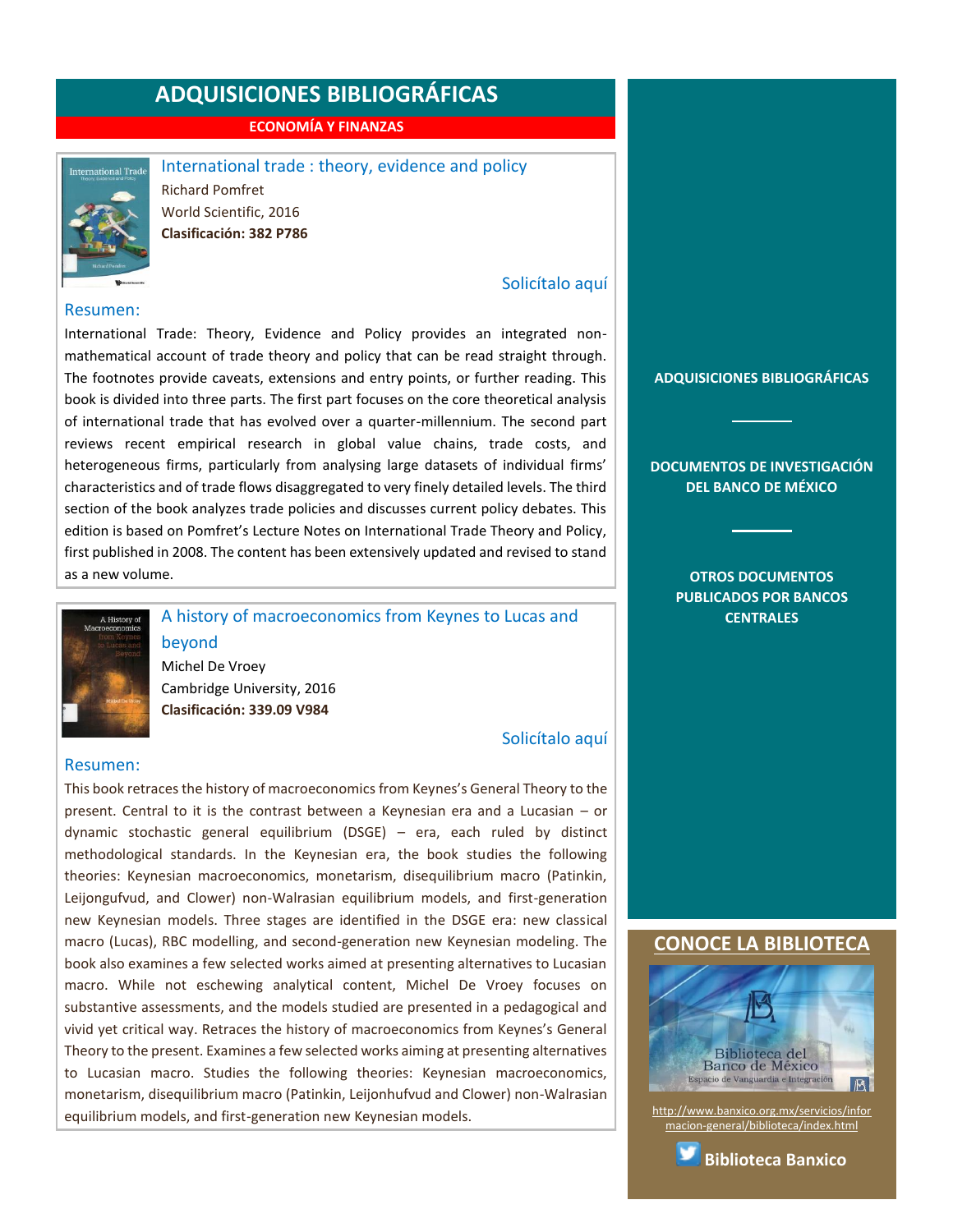**ECONOMÍA Y FINANZAS**

<span id="page-6-0"></span>

International trade : theory, evidence and policy Richard Pomfret World Scientific, 2016 **Clasificación: 382 P786**

#### [Solicítalo aquí](mailto:osbib@banxico.org.mx?subject=+Solicito%20el%20siguiente%20material&body=Solicito%20en%20préstamo%20el%20siguiente%20título%20%22International%20trade%22%20con%20clasificación%20382%20P786)

#### Resumen:

International Trade: Theory, Evidence and Policy provides an integrated nonmathematical account of trade theory and policy that can be read straight through. The footnotes provide caveats, extensions and entry points, or further reading. This book is divided into three parts. The first part focuses on the core theoretical analysis of international trade that has evolved over a quarter-millennium. The second part reviews recent empirical research in global value chains, trade costs, and heterogeneous firms, particularly from analysing large datasets of individual firms' characteristics and of trade flows disaggregated to very finely detailed levels. The third section of the book analyzes trade policies and discusses current policy debates. This edition is based on Pomfret's Lecture Notes on International Trade Theory and Policy, first published in 2008. The content has been extensively updated and revised to stand as a new volume.



A history of macroeconomics from Keynes to Lucas and beyond

Michel De Vroey Cambridge University, 2016 **Clasificación: 339.09 V984**

[Solicítalo aquí](mailto:osbib@banxico.org.mx?subject=+Solicito%20el%20siguiente%20material&body=Solicito%20en%20préstamo%20el%20siguiente%20título%20%22A%20history%20of%20macroeconomics%20from%20Keynes%20to%20Lucas%20and%20beyond%22%20con%20clasificación%20339.09%20V984)

#### Resumen:

This book retraces the history of macroeconomics from Keynes's General Theory to the present. Central to it is the contrast between a Keynesian era and a Lucasian – or dynamic stochastic general equilibrium (DSGE) – era, each ruled by distinct methodological standards. In the Keynesian era, the book studies the following theories: Keynesian macroeconomics, monetarism, disequilibrium macro (Patinkin, Leijongufvud, and Clower) non-Walrasian equilibrium models, and first-generation new Keynesian models. Three stages are identified in the DSGE era: new classical macro (Lucas), RBC modelling, and second-generation new Keynesian modeling. The book also examines a few selected works aimed at presenting alternatives to Lucasian macro. While not eschewing analytical content, Michel De Vroey focuses on substantive assessments, and the models studied are presented in a pedagogical and vivid yet critical way. Retraces the history of macroeconomics from Keynes's General Theory to the present. Examines a few selected works aiming at presenting alternatives to Lucasian macro. Studies the following theories: Keynesian macroeconomics, monetarism, disequilibrium macro (Patinkin, Leijonhufvud and Clower) non-Walrasian equilibrium models, and first-generation new Keynesian models.

**[ADQUISICIONES BIBLIOGRÁFICAS](#page-1-0)**

**[DOCUMENTOS DE INVESTIGACIÓN](#page-2-0)  [DEL BANCO DE MÉXICO](#page-2-0)**

> **[OTROS DOCUMENTOS](#page-3-0)  [PUBLICADOS POR BANCOS](#page-3-0)  [CENTRALES](#page-3-0)**

#### **[CONOCE LA BIBLIOTECA](http://www.banxico.org.mx/servicios/informacion-general/biblioteca/index.html)**



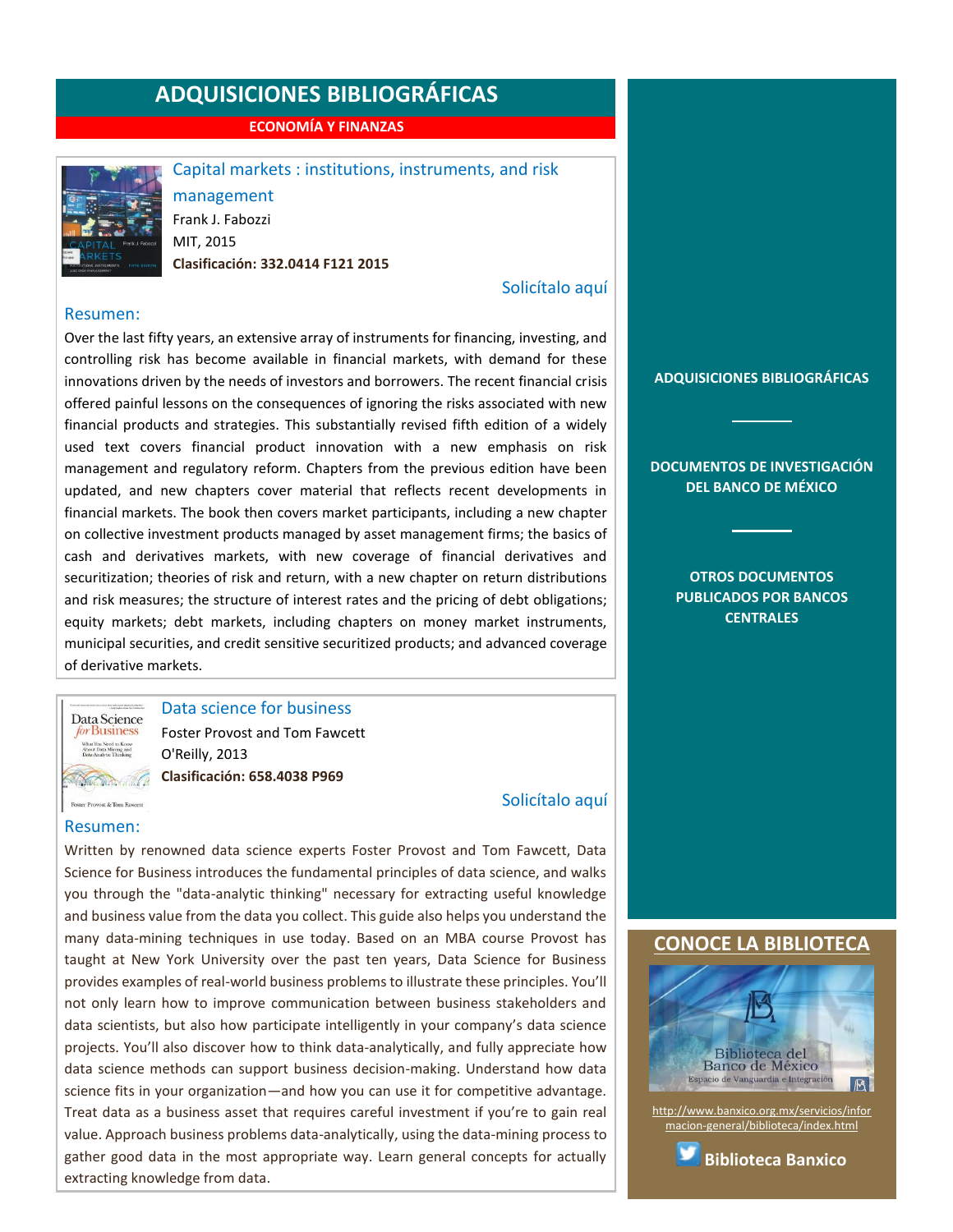**ECONOMÍA Y FINANZAS**

<span id="page-7-0"></span>

Capital markets : institutions, instruments, and risk

management Frank J. Fabozzi MIT, 2015 **Clasificación: 332.0414 F121 2015**

#### [Solicítalo aquí](mailto:osbib@banxico.org.mx?subject=+Solicito%20el%20siguiente%20material&body=Solicito%20en%20préstamo%20el%20siguiente%20título%20%22Capital%20markets%22%20con%20clasificación%20332.0414%20F121%202015)

[Solicítalo aquí](mailto:osbib@banxico.org.mx?subject=+Solicito%20el%20siguiente%20material&body=Solicito%20en%20préstamo%20el%20siguiente%20título%20%22Data%20science%20for%20business%22%20con%20clasificación%20658.4038%20P969)

#### Resumen:

Over the last fifty years, an extensive array of instruments for financing, investing, and controlling risk has become available in financial markets, with demand for these innovations driven by the needs of investors and borrowers. The recent financial crisis offered painful lessons on the consequences of ignoring the risks associated with new financial products and strategies. This substantially revised fifth edition of a widely used text covers financial product innovation with a new emphasis on risk management and regulatory reform. Chapters from the previous edition have been updated, and new chapters cover material that reflects recent developments in financial markets. The book then covers market participants, including a new chapter on collective investment products managed by asset management firms; the basics of cash and derivatives markets, with new coverage of financial derivatives and securitization; theories of risk and return, with a new chapter on return distributions and risk measures; the structure of interest rates and the pricing of debt obligations; equity markets; debt markets, including chapters on money market instruments, municipal securities, and credit sensitive securitized products; and advanced coverage of derivative markets.



Data science for business Foster Provost and Tom Fawcett O'Reilly, 2013 **Clasificación: 658.4038 P969**

Foster Provost & Tom Fawcett

#### Resumen:

Written by renowned data science experts Foster Provost and Tom Fawcett, Data Science for Business introduces the fundamental principles of data science, and walks you through the "data-analytic thinking" necessary for extracting useful knowledge and business value from the data you collect. This guide also helps you understand the many data-mining techniques in use today. Based on an MBA course Provost has taught at New York University over the past ten years, Data Science for Business provides examples of real-world business problems to illustrate these principles. You'll not only learn how to improve communication between business stakeholders and data scientists, but also how participate intelligently in your company's data science projects. You'll also discover how to think data-analytically, and fully appreciate how data science methods can support business decision-making. Understand how data science fits in your organization—and how you can use it for competitive advantage. Treat data as a business asset that requires careful investment if you're to gain real value. Approach business problems data-analytically, using the data-mining process to gather good data in the most appropriate way. Learn general concepts for actually extracting knowledge from data.

#### **[ADQUISICIONES BIBLIOGRÁFICAS](#page-1-0)**

**[DOCUMENTOS DE INVESTIGACIÓN](#page-2-0)  [DEL BANCO DE MÉXICO](#page-2-0)**

> **[OTROS DOCUMENTOS](#page-3-0)  [PUBLICADOS POR BANCOS](#page-3-0)  [CENTRALES](#page-3-0)**

#### **[CONOCE LA BIBLIOTECA](http://www.banxico.org.mx/servicios/informacion-general/biblioteca/index.html)**



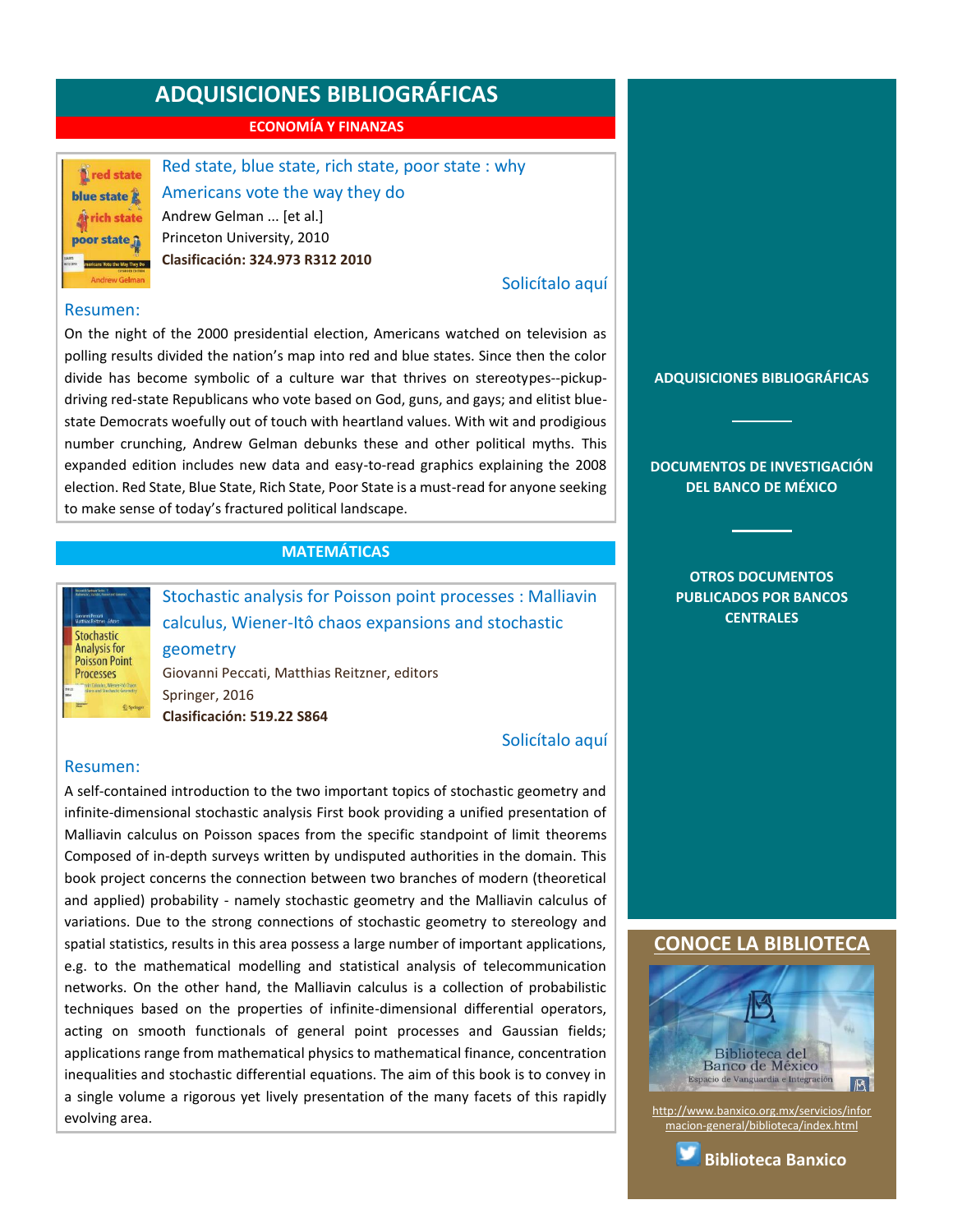**ECONOMÍA Y FINANZAS**

<span id="page-8-0"></span>**L** red state blue state **At rich state** poor state ji

Red state, blue state, rich state, poor state : why Americans vote the way they do Andrew Gelman ... [et al.] Princeton University, 2010 **Clasificación: 324.973 R312 2010**

#### [Solicítalo aquí](mailto:osbib@banxico.org.mx?subject=+Solicito%20el%20siguiente%20material&body=Solicito%20en%20préstamo%20el%20siguiente%20título%20%22Red%20state,%20blue%20state,%20rich%20state,%20poor%20state%22%20con%20clasificación%20324.973%20R312%202010)

#### Resumen:

On the night of the 2000 presidential election, Americans watched on television as polling results divided the nation's map into red and blue states. Since then the color divide has become symbolic of a culture war that thrives on stereotypes--pickupdriving red-state Republicans who vote based on God, guns, and gays; and elitist bluestate Democrats woefully out of touch with heartland values. With wit and prodigious number crunching, Andrew Gelman debunks these and other political myths. This expanded edition includes new data and easy-to-read graphics explaining the 2008 election. Red State, Blue State, Rich State, Poor State is a must-read for anyone seeking to make sense of today's fractured political landscape.

#### **MATEMÁTICAS**



Stochastic analysis for Poisson point processes : Malliavin calculus, Wiener-Itô chaos expansions and stochastic geometry Giovanni Peccati, Matthias Reitzner, editors Springer, 2016

**Clasificación: 519.22 S864**

#### [Solicítalo aquí](mailto:osbib@banxico.org.mx?subject=+Solicito%20el%20siguiente%20material&body=Solicito%20en%20préstamo%20el%20siguiente%20título%20%22Stochastic%20analysis%20for%20Poisson%20point%20processes%22%20con%20clasificación%20519.22%20S864)

#### Resumen:

A self-contained introduction to the two important topics of stochastic geometry and infinite-dimensional stochastic analysis First book providing a unified presentation of Malliavin calculus on Poisson spaces from the specific standpoint of limit theorems Composed of in-depth surveys written by undisputed authorities in the domain. This book project concerns the connection between two branches of modern (theoretical and applied) probability - namely stochastic geometry and the Malliavin calculus of variations. Due to the strong connections of stochastic geometry to stereology and spatial statistics, results in this area possess a large number of important applications, e.g. to the mathematical modelling and statistical analysis of telecommunication networks. On the other hand, the Malliavin calculus is a collection of probabilistic techniques based on the properties of infinite-dimensional differential operators, acting on smooth functionals of general point processes and Gaussian fields; applications range from mathematical physics to mathematical finance, concentration inequalities and stochastic differential equations. The aim of this book is to convey in a single volume a rigorous yet lively presentation of the many facets of this rapidly evolving area.

**[ADQUISICIONES BIBLIOGRÁFICAS](#page-1-0)**

**[DOCUMENTOS DE INVESTIGACIÓN](#page-2-0)  [DEL BANCO DE MÉXICO](#page-2-0)**

> **[OTROS DOCUMENTOS](#page-3-0)  [PUBLICADOS POR BANCOS](#page-3-0)  [CENTRALES](#page-3-0)**

#### **[CONOCE LA BIBLIOTECA](http://www.banxico.org.mx/servicios/informacion-general/biblioteca/index.html)**



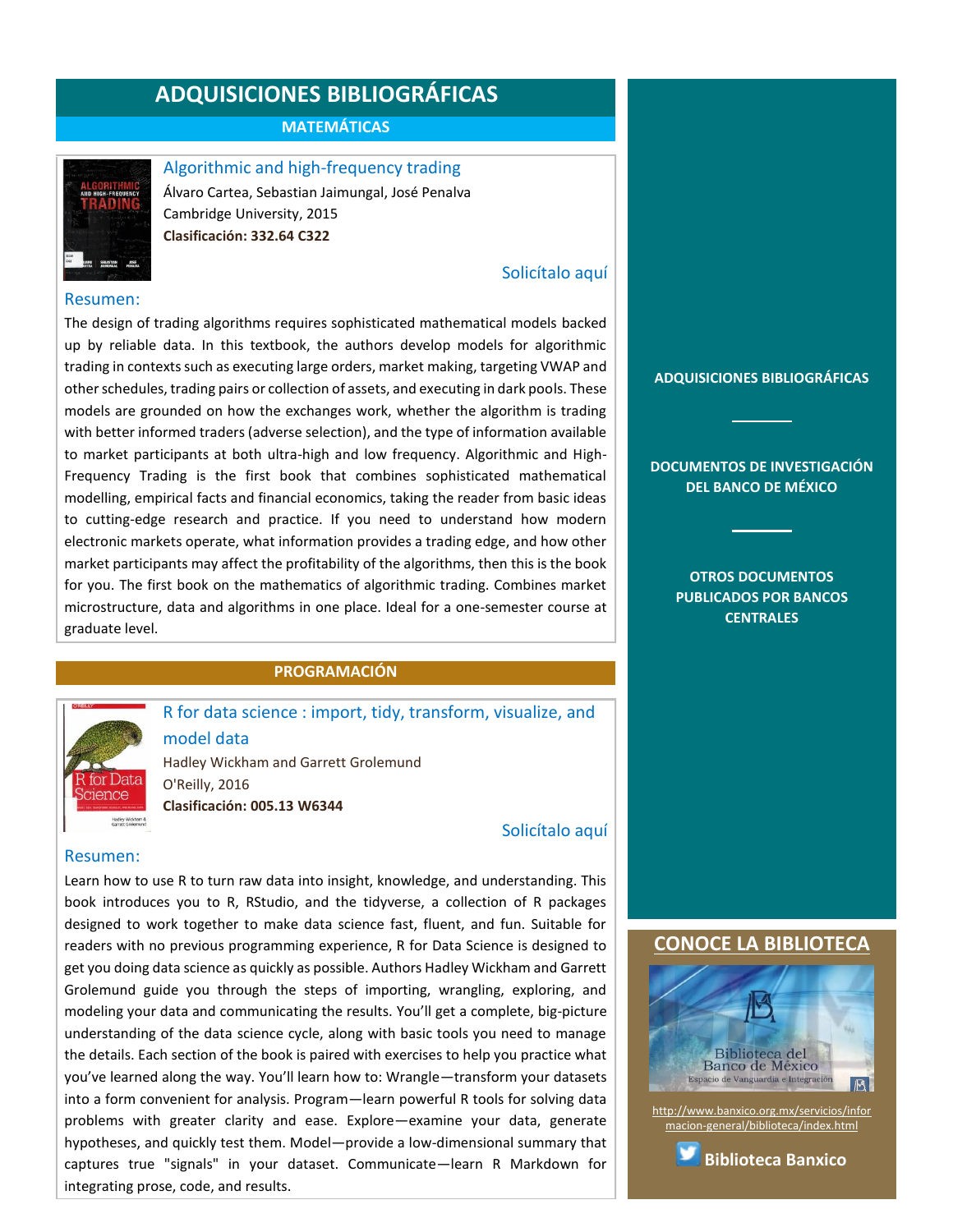**MATEMÁTICAS**

<span id="page-9-0"></span>

Algorithmic and high-frequency trading Álvaro Cartea, Sebastian Jaimungal, José Penalva Cambridge University, 2015 **Clasificación: 332.64 C322**

#### [Solicítalo aquí](mailto:osbib@banxico.org.mx?subject=+Solicito%20el%20siguiente%20material&body=Solicito%20en%20préstamo%20el%20siguiente%20título%20%22Algorithmic%20and%20high-frequency%20trading%22%20con%20clasificación%20332.64%20C322)

#### Resumen:

The design of trading algorithms requires sophisticated mathematical models backed up by reliable data. In this textbook, the authors develop models for algorithmic trading in contexts such as executing large orders, market making, targeting VWAP and other schedules, trading pairs or collection of assets, and executing in dark pools. These models are grounded on how the exchanges work, whether the algorithm is trading with better informed traders (adverse selection), and the type of information available to market participants at both ultra-high and low frequency. Algorithmic and High-Frequency Trading is the first book that combines sophisticated mathematical modelling, empirical facts and financial economics, taking the reader from basic ideas to cutting-edge research and practice. If you need to understand how modern electronic markets operate, what information provides a trading edge, and how other market participants may affect the profitability of the algorithms, then this is the book for you. The first book on the mathematics of algorithmic trading. Combines market microstructure, data and algorithms in one place. Ideal for a one-semester course at graduate level.

#### **PROGRAMACIÓN**



R for data science : import, tidy, transform, visualize, and model data

Hadley Wickham and Garrett Grolemund O'Reilly, 2016

**Clasificación: 005.13 W6344**

#### [Solicítalo aquí](mailto:osbib@banxico.org.mx?subject=+Solicito%20el%20siguiente%20material&body=Solicito%20en%20préstamo%20el%20siguiente%20título%20%22R%20for%20data%20science%22%20con%20clasificación%20005.13%20W6344)

#### Resumen:

Learn how to use R to turn raw data into insight, knowledge, and understanding. This book introduces you to R, RStudio, and the tidyverse, a collection of R packages designed to work together to make data science fast, fluent, and fun. Suitable for readers with no previous programming experience, R for Data Science is designed to get you doing data science as quickly as possible. Authors Hadley Wickham and Garrett Grolemund guide you through the steps of importing, wrangling, exploring, and modeling your data and communicating the results. You'll get a complete, big-picture understanding of the data science cycle, along with basic tools you need to manage the details. Each section of the book is paired with exercises to help you practice what you've learned along the way. You'll learn how to: Wrangle—transform your datasets into a form convenient for analysis. Program—learn powerful R tools for solving data problems with greater clarity and ease. Explore—examine your data, generate hypotheses, and quickly test them. Model—provide a low-dimensional summary that captures true "signals" in your dataset. Communicate—learn R Markdown for integrating prose, code, and results.

**[ADQUISICIONES BIBLIOGRÁFICAS](#page-1-0)**

**[DOCUMENTOS DE INVESTIGACIÓN](#page-2-0)  [DEL BANCO DE MÉXICO](#page-2-0)**

> **[OTROS DOCUMENTOS](#page-3-0)  [PUBLICADOS POR BANCOS](#page-3-0)  [CENTRALES](#page-3-0)**

#### **CONOCE LA BIBLIOTEC**



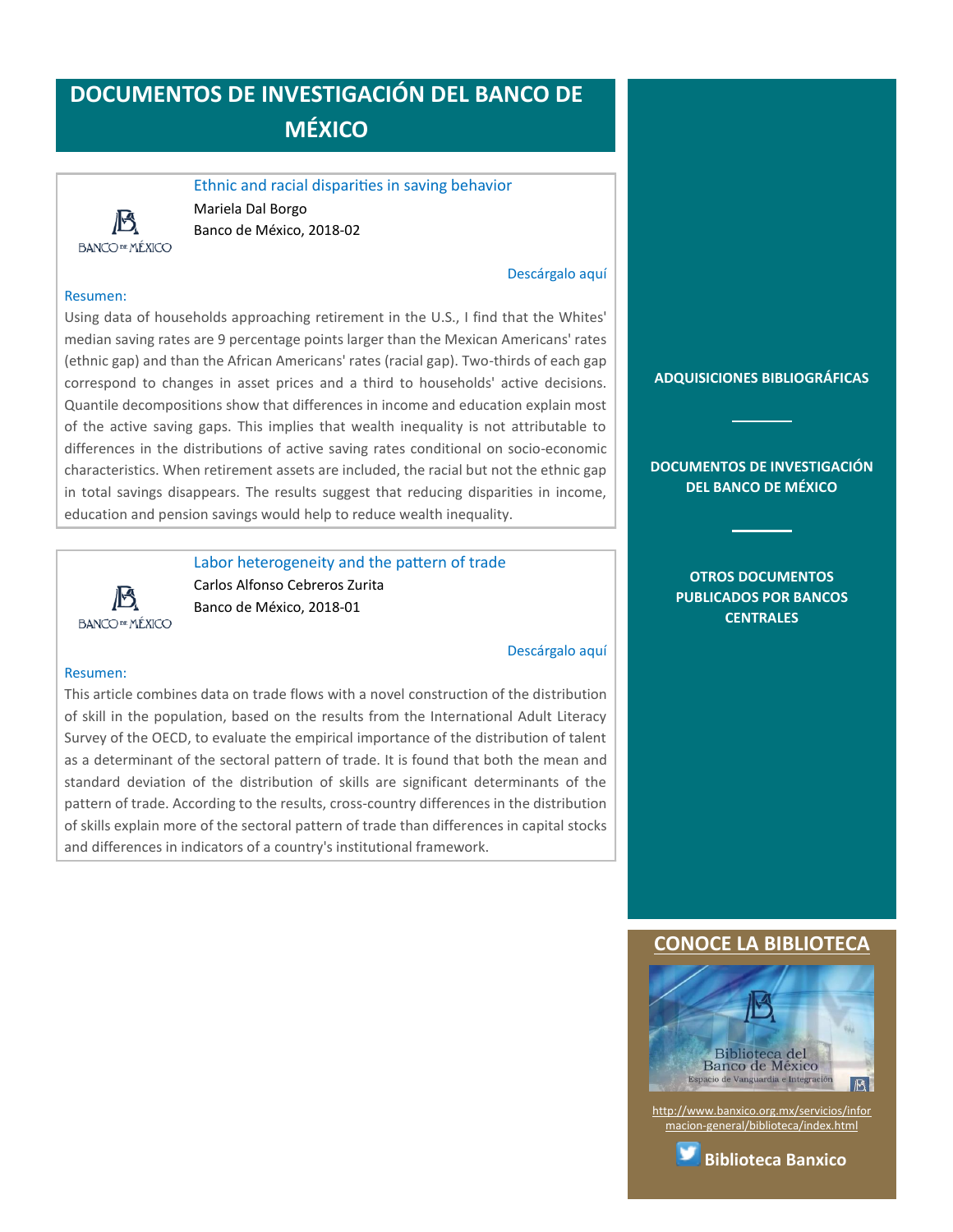# <span id="page-10-0"></span>**DOCUMENTOS DE INVESTIGACIÓN DEL BANCO DE MÉXICO**

Ethnic and racial disparities in saving behavior Mariela Dal Borgo Banco de México, 2018-02

#### [Descárgalo aquí](http://www.banxico.org.mx/publicaciones-y-discursos/publicaciones/documentos-de-investigacion/banxico/%7BCD71EB95-C955-9BE5-2296-A9FC95EEF5E9%7D.pdf)

#### Resumen:

**BANCOPEMÉXICO** 

Using data of households approaching retirement in the U.S., I find that the Whites' median saving rates are 9 percentage points larger than the Mexican Americans' rates (ethnic gap) and than the African Americans' rates (racial gap). Two-thirds of each gap correspond to changes in asset prices and a third to households' active decisions. Quantile decompositions show that differences in income and education explain most of the active saving gaps. This implies that wealth inequality is not attributable to differences in the distributions of active saving rates conditional on socio-economic characteristics. When retirement assets are included, the racial but not the ethnic gap in total savings disappears. The results suggest that reducing disparities in income, education and pension savings would help to reduce wealth inequality.

**BANCOPEMÉXICO** 

Labor heterogeneity and the pattern of trade Carlos Alfonso Cebreros Zurita Banco de México, 2018-01

[Descárgalo aquí](http://www.banxico.org.mx/publicaciones-y-discursos/publicaciones/documentos-de-investigacion/banxico/%7B3F8A8EC2-5CCC-EE7C-9591-117F459766AE%7D.pdf)

#### Resumen:

This article combines data on trade flows with a novel construction of the distribution of skill in the population, based on the results from the International Adult Literacy Survey of the OECD, to evaluate the empirical importance of the distribution of talent as a determinant of the sectoral pattern of trade. It is found that both the mean and standard deviation of the distribution of skills are significant determinants of the pattern of trade. According to the results, cross-country differences in the distribution of skills explain more of the sectoral pattern of trade than differences in capital stocks and differences in indicators of a country's institutional framework.

**[CONOCE LA BIBLIOTECA](http://www.banxico.org.mx/servicios/informacion-general/biblioteca/index.html)**

**[ADQUISICIONES BIBLIOGRÁFICAS](#page-1-0)**

**[DOCUMENTOS DE INVESTIGACIÓN](#page-2-0)  [DEL BANCO DE MÉXICO](#page-2-0)**

> **[OTROS DOCUMENTOS](#page-3-0)  [PUBLICADOS POR BANCOS](#page-3-0)  [CENTRALES](#page-3-0)**



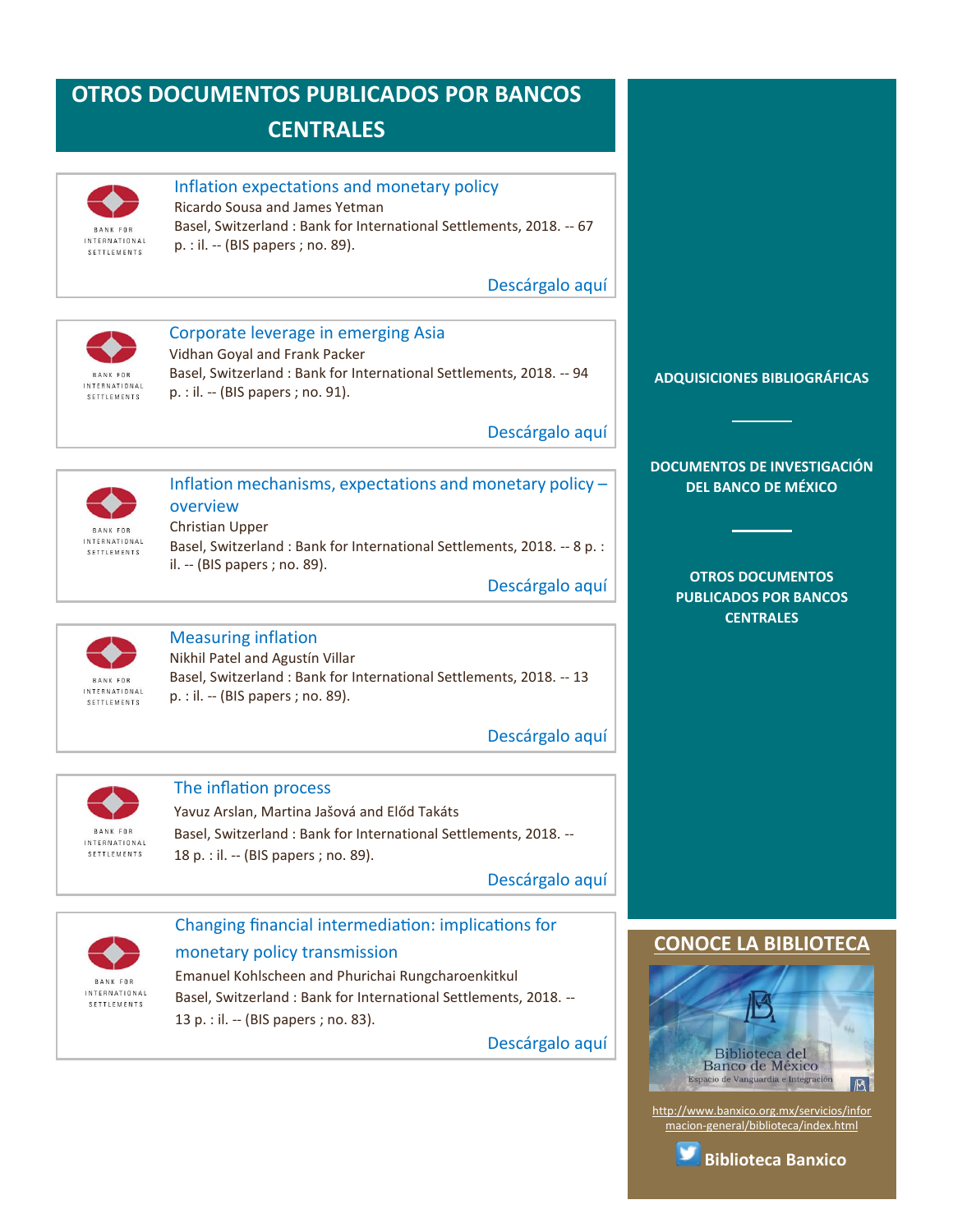# <span id="page-11-0"></span>**OTROS DOCUMENTOS PUBLICADOS POR BANCOS CENTRALES**



#### Inflation expectations and monetary policy

Ricardo Sousa and James Yetman Basel, Switzerland : Bank for International Settlements, 2018. -- 67 p. : il. -- (BIS papers ; no. 89).

[Descárgalo aquí](https://www.bis.org/publ/bppdf/bispap89d_rh.pdf)



# Corporate leverage in emerging Asia

Vidhan Goyal and Frank Packer Basel, Switzerland : Bank for International Settlements, 2018. -- 94 p. : il. -- (BIS papers ; no. 91).

[Descárgalo aquí](https://www.bis.org/publ/bppdf/bispap91e_rh.pdf)



#### Inflation mechanisms, expectations and monetary policy – overview Christian Upper Basel, Switzerland : Bank for International Settlements, 2018. -- 8 p. :

il. -- (BIS papers ; no. 89).

[Descárgalo aquí](https://www.bis.org/publ/bppdf/bispap89a_rh.pdf)



### Measuring inflation

Nikhil Patel and Agustín Villar Basel, Switzerland : Bank for International Settlements, 2018. -- 13 p. : il. -- (BIS papers ; no. 89).

[Descárgalo aquí](https://www.bis.org/publ/bppdf/bispap89b_rh.pdf)



#### The inflation process

Yavuz Arslan, Martina Jašová and Előd Takáts Basel, Switzerland : Bank for International Settlements, 2018. -- 18 p. : il. -- (BIS papers ; no. 89).

[Descárgalo aquí](https://www.bis.org/publ/bppdf/bispap89c_rh.pdf)



# Changing financial intermediation: implications for monetary policy transmission

Emanuel Kohlscheen and Phurichai Rungcharoenkitkul Basel, Switzerland : Bank for International Settlements, 2018. -- 13 p. : il. -- (BIS papers ; no. 83).

[Descárgalo aquí](https://www.bis.org/publ/bppdf/bispap83d_rh.pdf)

#### **[ADQUISICIONES BIBLIOGRÁFICAS](#page-1-0)**

**[DOCUMENTOS DE INVESTIGACIÓN](#page-2-0)  [DEL BANCO DE MÉXICO](#page-2-0)**

**[OTROS DOCUMENTOS](#page-3-0)  [PUBLICADOS POR BANCOS](#page-3-0)  [CENTRALES](#page-3-0)**

#### **[CONOCE LA BIBLIOTECA](http://www.banxico.org.mx/servicios/informacion-general/biblioteca/index.html)**



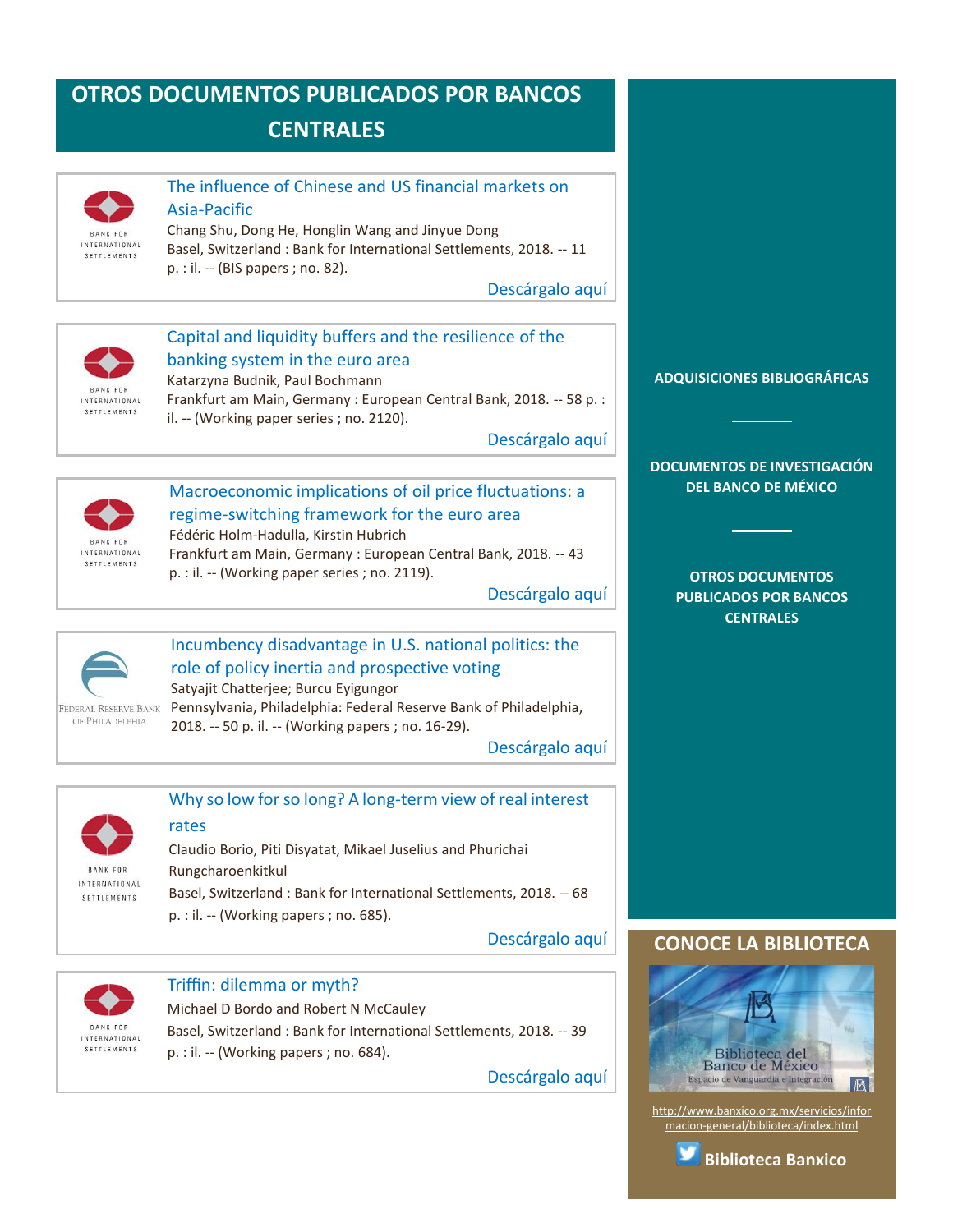# <span id="page-12-0"></span>**OTROS DOCUMENTOS PUBLICADOS POR BANCOS CENTRALES**



#### The influence of Chinese and US financial markets on Asia-Pacific

Chang Shu, Dong He, Honglin Wang and Jinyue Dong Basel, Switzerland : Bank for International Settlements, 2018. -- 11 p. : il. -- (BIS papers ; no. 82).

[Descárgalo aquí](https://www.bis.org/publ/bppdf/bispap82i_rh.pdf)



## Capital and liquidity buffers and the resilience of the banking system in the euro area

Katarzyna Budnik, Paul Bochmann Frankfurt am Main, Germany : European Central Bank, 2018. -- 58 p. : il. -- (Working paper series ; no. 2120).

[Descárgalo aquí](https://www.ecb.europa.eu/pub/pdf/scpwps/ecb.wp2120.en.pdf)



#### Macroeconomic implications of oil price fluctuations: a regime-switching framework for the euro area Fédéric Holm-Hadulla, Kirstin Hubrich

Frankfurt am Main, Germany : European Central Bank, 2018. -- 43 p. : il. -- (Working paper series ; no. 2119).

[Descárgalo aquí](https://www.ecb.europa.eu/pub/pdf/scpwps/ecb.wp2119.en.pdf)



# Incumbency disadvantage in U.S. national politics: the role of policy inertia and prospective voting

Satyajit Chatterjee; Burcu Eyigungor Pennsylvania, Philadelphia: Federal Reserve Bank of Philadelphia, 2018. -- 50 p. il. -- (Working papers ; no. 16-29).

[Descárgalo aquí](https://www.philadelphiafed.org/-/media/research-and-data/publications/working-papers/2017/wp17-43.pdf?utm_campaign=WorkingPapers=2017/12/20=E-mail)



#### Why so low for so long? A long-term view of real interest rates

Claudio Borio, Piti Disyatat, Mikael Juselius and Phurichai Rungcharoenkitkul Basel, Switzerland : Bank for International Settlements, 2018. -- 68 p. : il. -- (Working papers ; no. 685).

[Descárgalo aquí](https://www.bis.org/publ/work685.pdf)



#### Triffin: dilemma or myth?

Michael D Bordo and Robert N McCauley Basel, Switzerland : Bank for International Settlements, 2018. -- 39 p. : il. -- (Working papers ; no. 684).

[Descárgalo aquí](https://www.bis.org/publ/work684.pdf)

#### **[ADQUISICIONES BIBLIOGRÁFICAS](#page-1-0)**

**[DOCUMENTOS DE INVESTIGACIÓN](#page-2-0)  [DEL BANCO DE MÉXICO](#page-2-0)**

**[OTROS DOCUMENTOS](#page-3-0)  [PUBLICADOS POR BANCOS](#page-3-0)  [CENTRALES](#page-3-0)**

#### **CONOCE LA BIBLIOTEC**